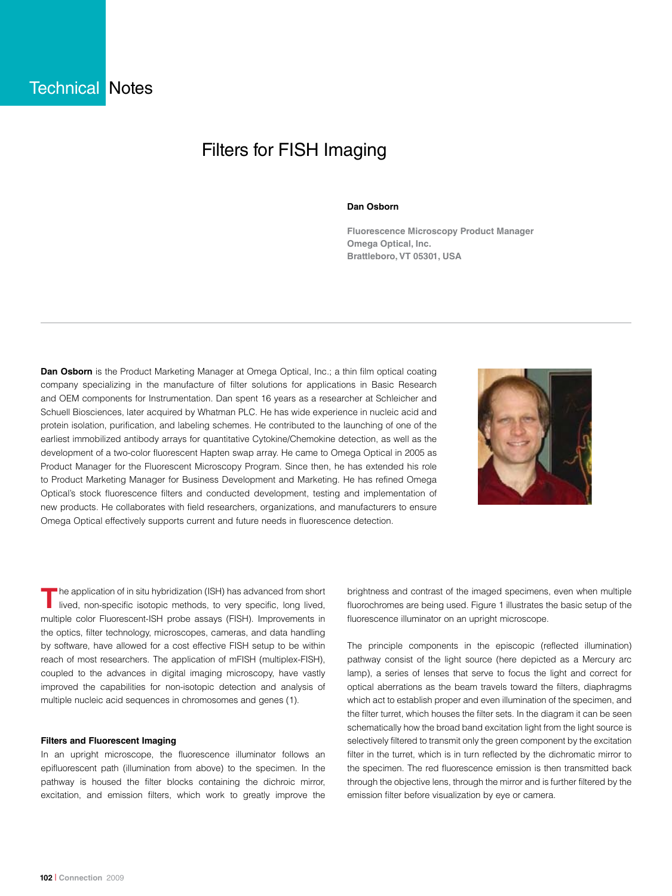# Filters for FISH Imaging

### **Dan Osborn**

**Fluorescence Microscopy Product Manager Omega Optical, Inc. Brattleboro, VT 05301, USA**

**Dan Osborn** is the Product Marketing Manager at Omega Optical, Inc.; a thin film optical coating company specializing in the manufacture of filter solutions for applications in Basic Research and OEM components for Instrumentation. Dan spent 16 years as a researcher at Schleicher and Schuell Biosciences, later acquired by Whatman PLC. He has wide experience in nucleic acid and protein isolation, purification, and labeling schemes. He contributed to the launching of one of the earliest immobilized antibody arrays for quantitative Cytokine/Chemokine detection, as well as the development of a two-color fluorescent Hapten swap array. He came to Omega Optical in 2005 as Product Manager for the Fluorescent Microscopy Program. Since then, he has extended his role to Product Marketing Manager for Business Development and Marketing. He has refined Omega Optical's stock fluorescence filters and conducted development, testing and implementation of new products. He collaborates with field researchers, organizations, and manufacturers to ensure Omega Optical effectively supports current and future needs in fluorescence detection.



The application of in situ hybridization (ISH) has advanced from short lived, non-specific isotopic methods, to very specific, long lived, multiple color Fluorescent-ISH probe assays (FISH). Improvements in the optics, filter technology, microscopes, cameras, and data handling by software, have allowed for a cost effective FISH setup to be within reach of most researchers. The application of mFISH (multiplex-FISH), coupled to the advances in digital imaging microscopy, have vastly improved the capabilities for non-isotopic detection and analysis of multiple nucleic acid sequences in chromosomes and genes (1).

### **Filters and Fluorescent Imaging**

In an upright microscope, the fluorescence illuminator follows an epifluorescent path (illumination from above) to the specimen. In the pathway is housed the filter blocks containing the dichroic mirror, excitation, and emission filters, which work to greatly improve the

brightness and contrast of the imaged specimens, even when multiple fluorochromes are being used. Figure 1 illustrates the basic setup of the fluorescence illuminator on an upright microscope.

The principle components in the episcopic (reflected illumination) pathway consist of the light source (here depicted as a Mercury arc lamp), a series of lenses that serve to focus the light and correct for optical aberrations as the beam travels toward the filters, diaphragms which act to establish proper and even illumination of the specimen, and the filter turret, which houses the filter sets. In the diagram it can be seen schematically how the broad band excitation light from the light source is selectively filtered to transmit only the green component by the excitation filter in the turret, which is in turn reflected by the dichromatic mirror to the specimen. The red fluorescence emission is then transmitted back through the objective lens, through the mirror and is further filtered by the emission filter before visualization by eye or camera.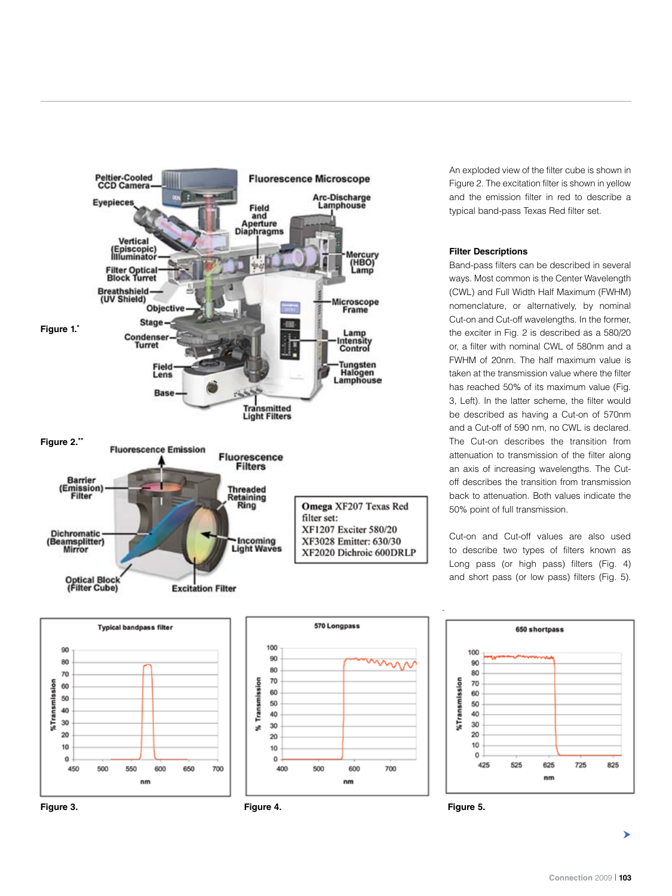

An exploded view of the filter cube is shown in Figure 2. The excitation filter is shown in yellow and the emission filter in red to describe a typical band-pass Texas Red filter set.

## **Filter Descriptions**

Band-pass filters can be described in several ways. Most common is the Center Wavelength (CWL) and Full Width Half Maximum (FWHM) nomenclature, or alternatively, by nominal Cut-on and Cut-off wavelengths. In the former, the exciter in Fig. 2 is described as a 580/20 or, a filter with nominal CWL of 580nm and a FWHM of 20nm. The half maximum value is taken at the transmission value where the filter has reached 50% of its maximum value (Fig. 3, Left). In the latter scheme, the filter would be described as having a Cut-on of 570nm and a Cut-off of 590 nm, no CWL is declared. The Cut-on describes the transition from attenuation to transmission of the filter along an axis of increasing wavelengths. The Cutoff describes the transition from transmission back to attenuation. Both values indicate the 50% point of full transmission.

Cut-on and Cut-off values are also used to describe two types of filters known as Long pass (or high pass) filters (Fig. 4) and short pass (or low pass) filters (Fig. 5).



**Figure 3. Figure 4. Figure 5.**





⋗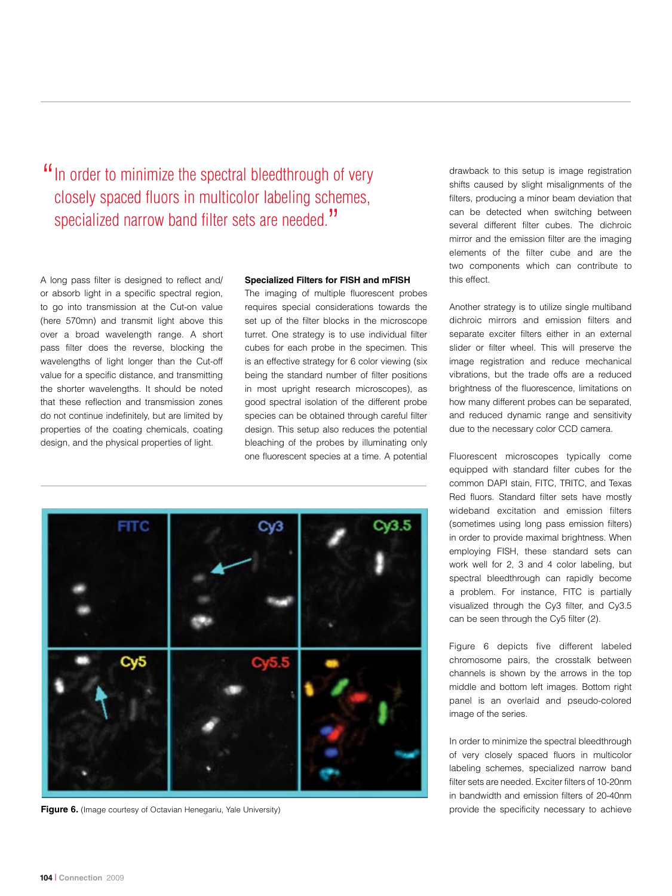"In order to minimize the spectral bleedthrough of very closely spaced fluors in multicolor labeling schemes, specialized narrow band filter sets are needed."

A long pass filter is designed to reflect and/ or absorb light in a specific spectral region, to go into transmission at the Cut-on value (here 570mn) and transmit light above this over a broad wavelength range. A short pass filter does the reverse, blocking the wavelengths of light longer than the Cut-off value for a specific distance, and transmitting the shorter wavelengths. It should be noted that these reflection and transmission zones do not continue indefinitely, but are limited by properties of the coating chemicals, coating design, and the physical properties of light.

#### **Specialized Filters for FISH and mFISH**

The imaging of multiple fluorescent probes requires special considerations towards the set up of the filter blocks in the microscope turret. One strategy is to use individual filter cubes for each probe in the specimen. This is an effective strategy for 6 color viewing (six being the standard number of filter positions in most upright research microscopes), as good spectral isolation of the different probe species can be obtained through careful filter design. This setup also reduces the potential bleaching of the probes by illuminating only one fluorescent species at a time. A potential



Another strategy is to utilize single multiband dichroic mirrors and emission filters and separate exciter filters either in an external slider or filter wheel. This will preserve the image registration and reduce mechanical vibrations, but the trade offs are a reduced brightness of the fluorescence, limitations on how many different probes can be separated, and reduced dynamic range and sensitivity due to the necessary color CCD camera.

Fluorescent microscopes typically come equipped with standard filter cubes for the common DAPI stain, FITC, TRITC, and Texas Red fluors. Standard filter sets have mostly wideband excitation and emission filters (sometimes using long pass emission filters) in order to provide maximal brightness. When employing FISH, these standard sets can work well for 2, 3 and 4 color labeling, but spectral bleedthrough can rapidly become a problem. For instance, FITC is partially visualized through the Cy3 filter, and Cy3.5 can be seen through the Cy5 filter (2).

Figure 6 depicts five different labeled chromosome pairs, the crosstalk between channels is shown by the arrows in the top middle and bottom left images. Bottom right panel is an overlaid and pseudo-colored image of the series.

In order to minimize the spectral bleedthrough of very closely spaced fluors in multicolor labeling schemes, specialized narrow band filter sets are needed. Exciter filters of 10-20nm in bandwidth and emission filters of 20-40nm provide the specificity necessary to achieve



**Figure 6.** (Image courtesy of Octavian Henegariu, Yale University)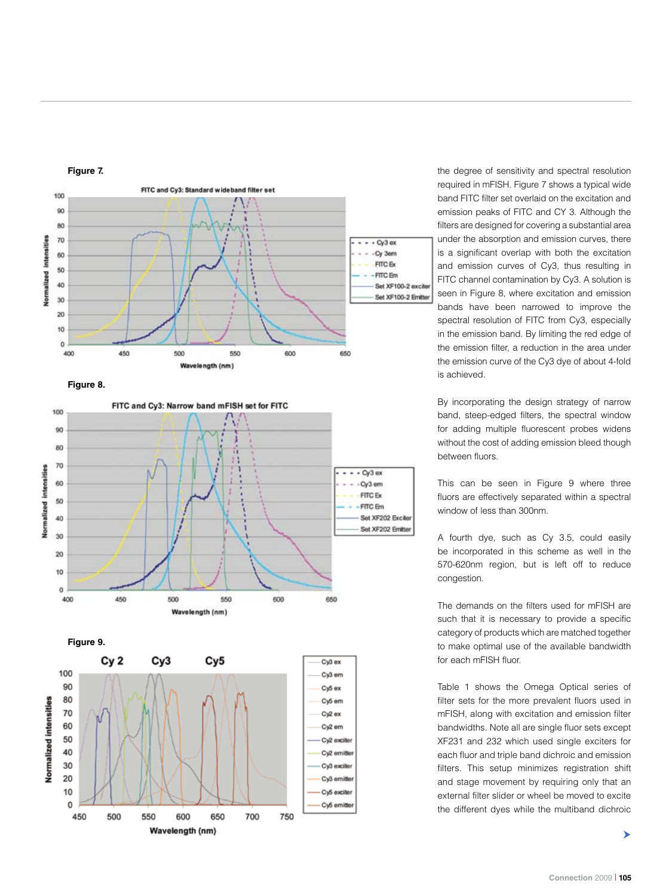







the degree of sensitivity and spectral resolution required in mFISH. Figure 7 shows a typical wide band FITC filter set overlaid on the excitation and emission peaks of FITC and CY 3. Although the filters are designed for covering a substantial area under the absorption and emission curves, there is a significant overlap with both the excitation and emission curves of Cy3, thus resulting in FITC channel contamination by Cy3. A solution is seen in Figure 8, where excitation and emission bands have been narrowed to improve the spectral resolution of FITC from Cy3, especially in the emission band. By limiting the red edge of the emission filter, a reduction in the area under the emission curve of the Cy3 dye of about 4-fold is achieved.

By incorporating the design strategy of narrow band, steep-edged filters, the spectral window for adding multiple fluorescent probes widens without the cost of adding emission bleed though between fluors.

This can be seen in Figure 9 where three fluors are effectively separated within a spectral window of less than 300nm.

A fourth dye, such as Cy 3.5, could easily be incorporated in this scheme as well in the 570-620nm region, but is left off to reduce congestion.

The demands on the filters used for mFISH are such that it is necessary to provide a specific category of products which are matched together to make optimal use of the available bandwidth for each mFISH fluor.

Table 1 shows the Omega Optical series of filter sets for the more prevalent fluors used in mFISH, along with excitation and emission filter bandwidths. Note all are single fluor sets except XF231 and 232 which used single exciters for each fluor and triple band dichroic and emission filters. This setup minimizes registration shift and stage movement by requiring only that an external filter slider or wheel be moved to excite the different dyes while the multiband dichroic

>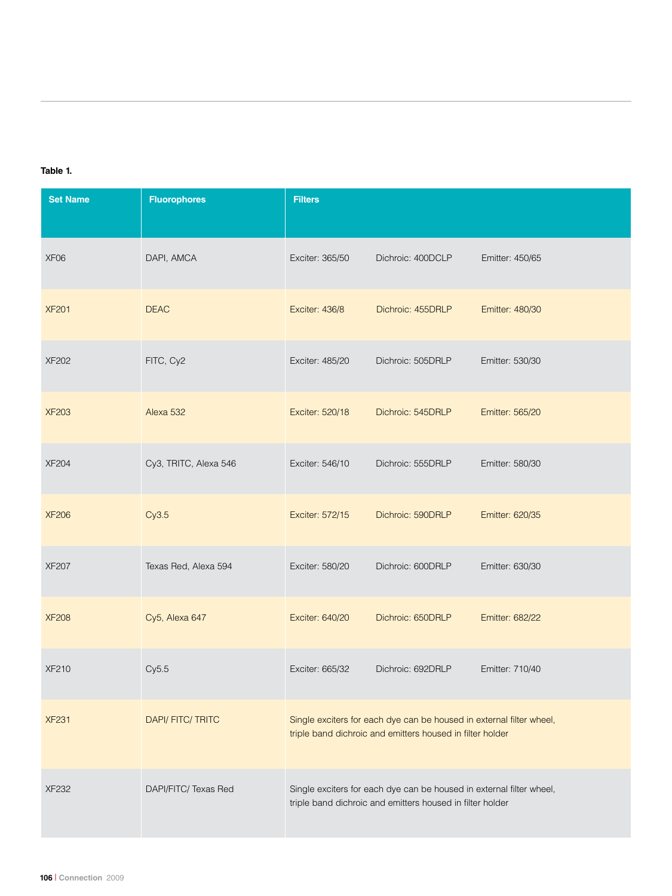## **Table 1.**

| <b>Set Name</b>  | <b>Fluorophores</b>   | <b>Filters</b>                                                                                                                    |                   |                 |
|------------------|-----------------------|-----------------------------------------------------------------------------------------------------------------------------------|-------------------|-----------------|
| XF <sub>06</sub> | DAPI, AMCA            | Exciter: 365/50                                                                                                                   | Dichroic: 400DCLP | Emitter: 450/65 |
| <b>XF201</b>     | <b>DEAC</b>           | Exciter: 436/8                                                                                                                    | Dichroic: 455DRLP | Emitter: 480/30 |
| <b>XF202</b>     | FITC, Cy2             | Exciter: 485/20                                                                                                                   | Dichroic: 505DRLP | Emitter: 530/30 |
| <b>XF203</b>     | Alexa 532             | Exciter: 520/18                                                                                                                   | Dichroic: 545DRLP | Emitter: 565/20 |
| <b>XF204</b>     | Cy3, TRITC, Alexa 546 | Exciter: 546/10                                                                                                                   | Dichroic: 555DRLP | Emitter: 580/30 |
| <b>XF206</b>     | Cy3.5                 | Exciter: 572/15                                                                                                                   | Dichroic: 590DRLP | Emitter: 620/35 |
| <b>XF207</b>     | Texas Red, Alexa 594  | Exciter: 580/20                                                                                                                   | Dichroic: 600DRLP | Emitter: 630/30 |
| <b>XF208</b>     | Cy5, Alexa 647        | Exciter: 640/20                                                                                                                   | Dichroic: 650DRLP | Emitter: 682/22 |
| <b>XF210</b>     | Cy5.5                 | Exciter: 665/32                                                                                                                   | Dichroic: 692DRLP | Emitter: 710/40 |
| <b>XF231</b>     | DAPI/FITC/TRITC       | Single exciters for each dye can be housed in external filter wheel,<br>triple band dichroic and emitters housed in filter holder |                   |                 |
| <b>XF232</b>     | DAPI/FITC/ Texas Red  | Single exciters for each dye can be housed in external filter wheel,<br>triple band dichroic and emitters housed in filter holder |                   |                 |